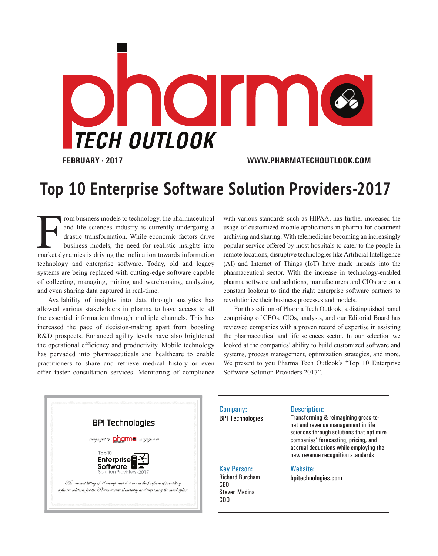

**FEBRUARY - 2017 WWW.PHARMATECHOUTLOOK.COM**

## **Top 10 Enterprise Software Solution Providers-2017**

From business models to technology, the pharmaceutical<br>and life sciences industry is currently undergoing a<br>drastic transformation. While economic factors drive<br>business models, the need for realistic insights into<br>market rom business models to technology, the pharmaceutical and life sciences industry is currently undergoing a drastic transformation. While economic factors drive business models, the need for realistic insights into technology and enterprise software. Today, old and legacy systems are being replaced with cutting-edge software capable of collecting, managing, mining and warehousing, analyzing, and even sharing data captured in real-time.

Availability of insights into data through analytics has allowed various stakeholders in pharma to have access to all the essential information through multiple channels. This has increased the pace of decision-making apart from boosting R&D prospects. Enhanced agility levels have also brightened the operational efficiency and productivity. Mobile technology has pervaded into pharmaceuticals and healthcare to enable practitioners to share and retrieve medical history or even offer faster consultation services. Monitoring of compliance

with various standards such as HIPAA, has further increased the usage of customized mobile applications in pharma for document archiving and sharing. With telemedicine becoming an increasingly popular service offered by most hospitals to cater to the people in remote locations, disruptive technologies like Artificial Intelligence (AI) and Internet of Things (IoT) have made inroads into the pharmaceutical sector. With the increase in technology-enabled pharma software and solutions, manufacturers and CIOs are on a constant lookout to find the right enterprise software partners to revolutionize their business processes and models.

For this edition of Pharma Tech Outlook, a distinguished panel comprising of CEOs, CIOs, analysts, and our Editorial Board has reviewed companies with a proven record of expertise in assisting the pharmaceutical and life sciences sector. In our selection we looked at the companies' ability to build customized software and systems, process management, optimization strategies, and more. We present to you Pharma Tech Outlook's "Top 10 Enterprise Software Solution Providers 2017".



Company: BPI Technologies

Key Person: Richard Burcham CEO Steven Medina COO

## Description:

Transforming & reimagining gross-tonet and revenue management in life sciences through solutions that optimize companies' forecasting, pricing, and accrual deductions while employing the new revenue recognition standards

## Website:

bpitechnologies.com